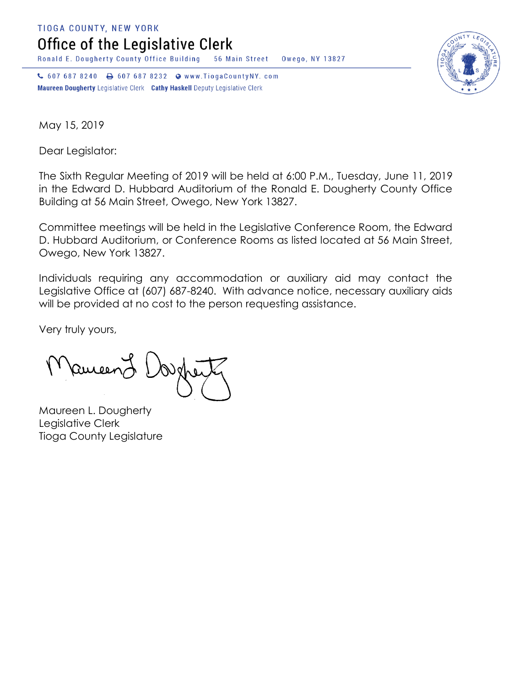**TIOGA COUNTY, NEW YORK** 

Office of the Legislative Clerk

Ronald E. Dougherty County Office Building 56 Main Street Owego, NY 13827

↓ 607 687 8240 → 607 687 8232 • www.TiogaCountyNY.com Maureen Dougherty Legislative Clerk Cathy Haskell Deputy Legislative Clerk



May 15, 2019

Dear Legislator:

The Sixth Regular Meeting of 2019 will be held at 6:00 P.M., Tuesday, June 11, 2019 in the Edward D. Hubbard Auditorium of the Ronald E. Dougherty County Office Building at 56 Main Street, Owego, New York 13827.

Committee meetings will be held in the Legislative Conference Room, the Edward D. Hubbard Auditorium, or Conference Rooms as listed located at 56 Main Street, Owego, New York 13827.

Individuals requiring any accommodation or auxiliary aid may contact the Legislative Office at (607) 687-8240. With advance notice, necessary auxiliary aids will be provided at no cost to the person requesting assistance.

Very truly yours,

Ruceen

Maureen L. Dougherty Legislative Clerk Tioga County Legislature